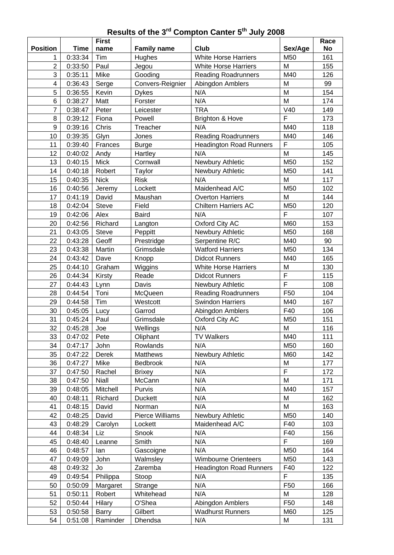## **Results of the 3 rd Compton Canter 5 th July 2008**

|                 |             | <b>First</b> |                    |                                |                 | Race      |
|-----------------|-------------|--------------|--------------------|--------------------------------|-----------------|-----------|
| <b>Position</b> | <b>Time</b> | name         | <b>Family name</b> | <b>Club</b>                    | Sex/Age         | <b>No</b> |
| 1               | 0:33:34     | Tim          | Hughes             | <b>White Horse Harriers</b>    | M50             | 161       |
| $\overline{2}$  | 0:33:50     | Paul         | Jegou              | <b>White Horse Harriers</b>    | M               | 155       |
| 3               | 0:35:11     | Mike         | Gooding            | <b>Reading Roadrunners</b>     | M40             | 126       |
| 4               | 0:36:43     | Serge        | Convers-Reignier   | Abingdon Amblers               | M               | 99        |
| 5               | 0:36:55     | Kevin        | <b>Dykes</b>       | N/A                            | M               | 154       |
| 6               | 0:38:27     | Matt         | Forster            | N/A                            | M               | 174       |
| $\overline{7}$  | 0:38:47     | Peter        | Leicester          | <b>TRA</b>                     | V40             | 149       |
| 8               | 0:39:12     | Fiona        | Powell             | <b>Brighton &amp; Hove</b>     | $\overline{F}$  | 173       |
| 9               | 0:39:16     | Chris        | Treacher           | N/A                            | M40             | 118       |
| 10              | 0:39:35     | Glyn         | Jones              | <b>Reading Roadrunners</b>     | M40             | 146       |
| 11              | 0:39:40     | Frances      | <b>Burge</b>       | <b>Headington Road Runners</b> | F               | 105       |
| 12              | 0:40:02     | Andy         | Hartley            | N/A                            | M               | 145       |
| 13              | 0:40:15     | <b>Mick</b>  | Cornwall           | Newbury Athletic               | M50             | 152       |
| 14              | 0:40:18     | Robert       | Taylor             | Newbury Athletic               | M50             | 141       |
| 15              | 0:40:35     | <b>Nick</b>  | <b>Risk</b>        | N/A                            | M               | 117       |
| 16              | 0:40:56     | Jeremy       | Lockett            | Maidenhead A/C                 | M50             | 102       |
| 17              | 0:41:19     | David        | Maushan            | <b>Overton Harriers</b>        | M               | 144       |
| 18              | 0:42:04     | <b>Steve</b> | Field              | <b>Chiltern Harriers AC</b>    | M50             | 120       |
| 19              | 0:42:06     | Alex         | <b>Baird</b>       | N/A                            | F               | 107       |
| 20              | 0:42:56     | Richard      | Langton            | Oxford City AC                 | M60             | 153       |
| 21              | 0:43:05     | <b>Steve</b> | Peppitt            | Newbury Athletic               | M50             | 168       |
| 22              | 0:43:28     | Geoff        | Prestridge         | Serpentine R/C                 | M40             | 90        |
| 23              | 0:43:38     | Martin       | Grimsdale          | <b>Watford Harriers</b>        | M50             | 134       |
| 24              | 0:43:42     | Dave         | Knopp              | <b>Didcot Runners</b>          | M40             | 165       |
| 25              | 0:44:10     | Graham       | Wiggins            | <b>White Horse Harriers</b>    | M               | 130       |
| 26              | 0:44:34     | Kirsty       | Reade              | <b>Didcot Runners</b>          | F               | 115       |
| 27              | 0:44:43     | Lynn         | Davis              | Newbury Athletic               | $\overline{F}$  | 108       |
| 28              | 0:44:54     | Toni         | McQueen            | <b>Reading Roadrunners</b>     | F50             | 104       |
| 29              | 0:44:58     | Tim          | Westcott           | <b>Swindon Harriers</b>        | M40             | 167       |
| 30              | 0:45:05     | Lucy         | Garrod             | Abingdon Amblers               | F40             | 106       |
| 31              | 0:45:24     | Paul         | Grimsdale          | Oxford City AC                 | M50             | 151       |
| 32              | 0:45:28     | Joe          | Wellings           | N/A                            | M               | 116       |
| 33              | 0:47:02     | Pete         | Oliphant           | <b>TV Walkers</b>              | M40             | 111       |
| 34              | 0:47:17     | John         | Rowlands           | N/A                            | M50             | 160       |
| 35              | 0:47:22     | Derek        | <b>Matthews</b>    | Newbury Athletic               | M60             | 142       |
| 36              | 0:47:27     | Mike         | Bedbrook           | N/A                            | M               | 177       |
| 37              | 0:47:50     | Rachel       | <b>Brixey</b>      | N/A                            | F               | 172       |
| 38              | 0:47:50     | <b>Niall</b> | McCann             | N/A                            | M               | 171       |
| 39              | 0:48:05     | Mitchell     | Purvis             | N/A                            | M40             | 157       |
| 40              | 0:48:11     | Richard      | <b>Duckett</b>     | N/A                            | M               | 162       |
| 41              | 0:48:15     | David        | Norman             | N/A                            | M               | 163       |
| 42              | 0:48:25     | David        | Pierce Williams    | Newbury Athletic               | M50             | 140       |
| 43              | 0:48:29     | Carolyn      | Lockett            | Maidenhead A/C                 | F40             | 103       |
| 44              | 0:48:34     | Liz          | Snook              | N/A                            | F40             | 156       |
| 45              | 0:48:40     | Leanne       | Smith              | N/A                            | F               | 169       |
| 46              | 0:48:57     | lan          | Gascoigne          | N/A                            | M50             | 164       |
| 47              | 0:49:09     | John         | Walmsley           | <b>Wimbourne Orienteers</b>    | M50             | 143       |
| 48              | 0:49:32     | Jo           | Zaremba            | <b>Headington Road Runners</b> | F40             | 122       |
| 49              | 0:49:54     | Philippa     | Stoop              | N/A                            | F               | 135       |
| 50              | 0:50:09     | Margaret     | Strange            | N/A                            | F50             | 166       |
| 51              | 0:50:11     | Robert       | Whitehead          | N/A                            | M               | 128       |
| 52              | 0:50:44     | Hilary       | O'Shea             | Abingdon Amblers               | F <sub>50</sub> | 148       |
| 53              | 0:50:58     | <b>Barry</b> | Gilbert            | <b>Wadhurst Runners</b>        | M60             | 125       |
| 54              | 0:51:08     | Raminder     | Dhendsa            | N/A                            | M               | 131       |
|                 |             |              |                    |                                |                 |           |